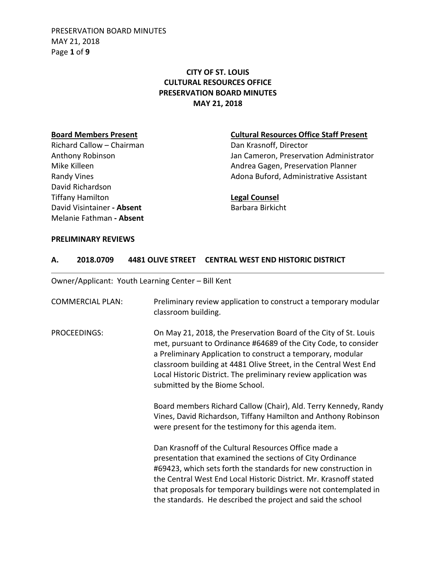PRESERVATION BOARD MINUTES MAY 21, 2018 Page **1** of **9**

# **CITY OF ST. LOUIS CULTURAL RESOURCES OFFICE PRESERVATION BOARD MINUTES MAY 21, 2018**

Richard Callow – Chairman Dan Krasnoff, Director David Richardson Tiffany Hamilton **Legal Counsel** David Visintainer - Absent Barbara Birkicht Melanie Fathman **- Absent**

### **Board Members Present Cultural Resources Office Staff Present**

Anthony Robinson **Anthony Robinson** Jan Cameron, Preservation Administrator Mike Killeen **Andrea Gagen, Preservation Planner** Andrea Gagen, Preservation Planner Randy Vines **Adona Buford, Administrative Assistant** Adona Buford, Administrative Assistant

#### **PRELIMINARY REVIEWS**

#### **A. 2018.0709 4481 OLIVE STREET CENTRAL WEST END HISTORIC DISTRICT**

Owner/Applicant: Youth Learning Center – Bill Kent

| <b>COMMERCIAL PLAN:</b> | Preliminary review application to construct a temporary modular<br>classroom building.                                                                                                                                                                                                                                                                                                     |
|-------------------------|--------------------------------------------------------------------------------------------------------------------------------------------------------------------------------------------------------------------------------------------------------------------------------------------------------------------------------------------------------------------------------------------|
| PROCEEDINGS:            | On May 21, 2018, the Preservation Board of the City of St. Louis<br>met, pursuant to Ordinance #64689 of the City Code, to consider<br>a Preliminary Application to construct a temporary, modular<br>classroom building at 4481 Olive Street, in the Central West End<br>Local Historic District. The preliminary review application was<br>submitted by the Biome School.                |
|                         | Board members Richard Callow (Chair), Ald. Terry Kennedy, Randy<br>Vines, David Richardson, Tiffany Hamilton and Anthony Robinson<br>were present for the testimony for this agenda item.                                                                                                                                                                                                  |
|                         | Dan Krasnoff of the Cultural Resources Office made a<br>presentation that examined the sections of City Ordinance<br>#69423, which sets forth the standards for new construction in<br>the Central West End Local Historic District. Mr. Krasnoff stated<br>that proposals for temporary buildings were not contemplated in<br>the standards. He described the project and said the school |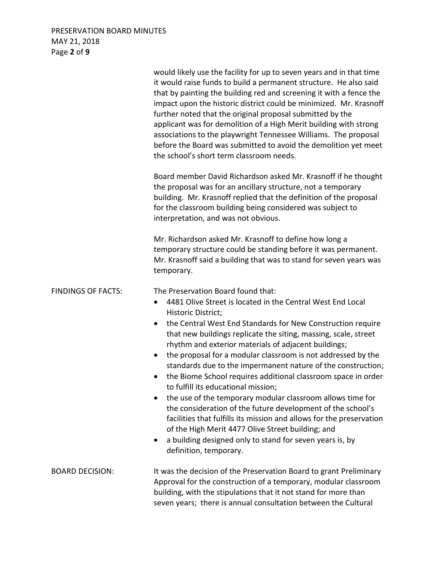# PRESERVATION BOARD MINUTES MAY 21, 2018 Page **2** of **9**

|                           | would likely use the facility for up to seven years and in that time<br>it would raise funds to build a permanent structure. He also said<br>that by painting the building red and screening it with a fence the<br>impact upon the historic district could be minimized. Mr. Krasnoff<br>further noted that the original proposal submitted by the<br>applicant was for demolition of a High Merit building with strong<br>associations to the playwright Tennessee Williams. The proposal<br>before the Board was submitted to avoid the demolition yet meet<br>the school's short term classroom needs.                                                                                                                                                                                                                                                                                                                                           |
|---------------------------|------------------------------------------------------------------------------------------------------------------------------------------------------------------------------------------------------------------------------------------------------------------------------------------------------------------------------------------------------------------------------------------------------------------------------------------------------------------------------------------------------------------------------------------------------------------------------------------------------------------------------------------------------------------------------------------------------------------------------------------------------------------------------------------------------------------------------------------------------------------------------------------------------------------------------------------------------|
|                           | Board member David Richardson asked Mr. Krasnoff if he thought<br>the proposal was for an ancillary structure, not a temporary<br>building. Mr. Krasnoff replied that the definition of the proposal<br>for the classroom building being considered was subject to<br>interpretation, and was not obvious.                                                                                                                                                                                                                                                                                                                                                                                                                                                                                                                                                                                                                                           |
|                           | Mr. Richardson asked Mr. Krasnoff to define how long a<br>temporary structure could be standing before it was permanent.<br>Mr. Krasnoff said a building that was to stand for seven years was<br>temporary.                                                                                                                                                                                                                                                                                                                                                                                                                                                                                                                                                                                                                                                                                                                                         |
| <b>FINDINGS OF FACTS:</b> | The Preservation Board found that:<br>4481 Olive Street is located in the Central West End Local<br>$\bullet$<br>Historic District;<br>the Central West End Standards for New Construction require<br>$\bullet$<br>that new buildings replicate the siting, massing, scale, street<br>rhythm and exterior materials of adjacent buildings;<br>the proposal for a modular classroom is not addressed by the<br>$\bullet$<br>standards due to the impermanent nature of the construction;<br>the Biome School requires additional classroom space in order<br>to fulfill its educational mission;<br>the use of the temporary modular classroom allows time for<br>the consideration of the future development of the school's<br>facilities that fulfills its mission and allows for the preservation<br>of the High Merit 4477 Olive Street building; and<br>a building designed only to stand for seven years is, by<br>٠<br>definition, temporary. |
| <b>BOARD DECISION:</b>    | It was the decision of the Preservation Board to grant Preliminary<br>Approval for the construction of a temporary, modular classroom<br>building, with the stipulations that it not stand for more than<br>seven years; there is annual consultation between the Cultural                                                                                                                                                                                                                                                                                                                                                                                                                                                                                                                                                                                                                                                                           |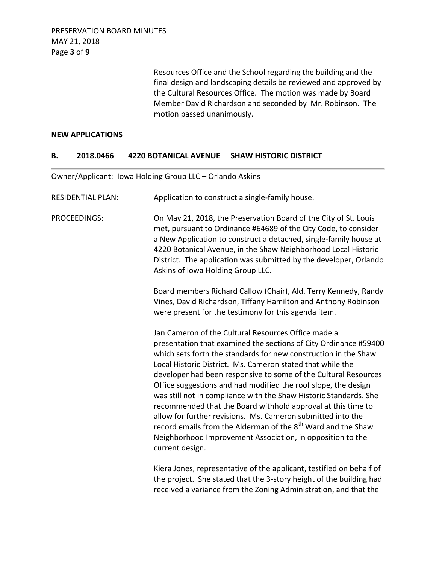Resources Office and the School regarding the building and the final design and landscaping details be reviewed and approved by the Cultural Resources Office. The motion was made by Board Member David Richardson and seconded by Mr. Robinson. The motion passed unanimously.

### **NEW APPLICATIONS**

### **B. 2018.0466 4220 BOTANICAL AVENUE SHAW HISTORIC DISTRICT**

Owner/Applicant: Iowa Holding Group LLC – Orlando Askins

| <b>RESIDENTIAL PLAN:</b> | Application to construct a single-family house.                                                                                                                                                                                                                                                                                                                                                                                                                                                                                                                                                                                                                                                                                                                |
|--------------------------|----------------------------------------------------------------------------------------------------------------------------------------------------------------------------------------------------------------------------------------------------------------------------------------------------------------------------------------------------------------------------------------------------------------------------------------------------------------------------------------------------------------------------------------------------------------------------------------------------------------------------------------------------------------------------------------------------------------------------------------------------------------|
| <b>PROCEEDINGS:</b>      | On May 21, 2018, the Preservation Board of the City of St. Louis<br>met, pursuant to Ordinance #64689 of the City Code, to consider<br>a New Application to construct a detached, single-family house at<br>4220 Botanical Avenue, in the Shaw Neighborhood Local Historic<br>District. The application was submitted by the developer, Orlando<br>Askins of Iowa Holding Group LLC.                                                                                                                                                                                                                                                                                                                                                                           |
|                          | Board members Richard Callow (Chair), Ald. Terry Kennedy, Randy<br>Vines, David Richardson, Tiffany Hamilton and Anthony Robinson<br>were present for the testimony for this agenda item.                                                                                                                                                                                                                                                                                                                                                                                                                                                                                                                                                                      |
|                          | Jan Cameron of the Cultural Resources Office made a<br>presentation that examined the sections of City Ordinance #59400<br>which sets forth the standards for new construction in the Shaw<br>Local Historic District. Ms. Cameron stated that while the<br>developer had been responsive to some of the Cultural Resources<br>Office suggestions and had modified the roof slope, the design<br>was still not in compliance with the Shaw Historic Standards. She<br>recommended that the Board withhold approval at this time to<br>allow for further revisions. Ms. Cameron submitted into the<br>record emails from the Alderman of the 8 <sup>th</sup> Ward and the Shaw<br>Neighborhood Improvement Association, in opposition to the<br>current design. |
|                          | Kiera Jones, representative of the applicant, testified on behalf of                                                                                                                                                                                                                                                                                                                                                                                                                                                                                                                                                                                                                                                                                           |

the project. She stated that the 3-story height of the building had received a variance from the Zoning Administration, and that the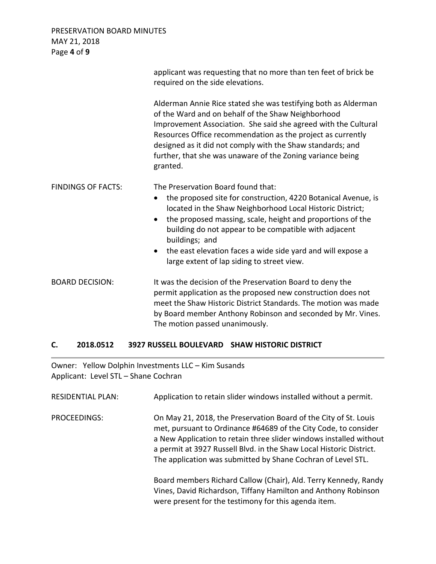PRESERVATION BOARD MINUTES MAY 21, 2018 Page **4** of **9**

|                           | applicant was requesting that no more than ten feet of brick be<br>required on the side elevations.                                                                                                                                                                                                                                                                                                                                                           |
|---------------------------|---------------------------------------------------------------------------------------------------------------------------------------------------------------------------------------------------------------------------------------------------------------------------------------------------------------------------------------------------------------------------------------------------------------------------------------------------------------|
|                           | Alderman Annie Rice stated she was testifying both as Alderman<br>of the Ward and on behalf of the Shaw Neighborhood<br>Improvement Association. She said she agreed with the Cultural<br>Resources Office recommendation as the project as currently<br>designed as it did not comply with the Shaw standards; and<br>further, that she was unaware of the Zoning variance being<br>granted.                                                                 |
| <b>FINDINGS OF FACTS:</b> | The Preservation Board found that:<br>the proposed site for construction, 4220 Botanical Avenue, is<br>$\bullet$<br>located in the Shaw Neighborhood Local Historic District;<br>the proposed massing, scale, height and proportions of the<br>$\bullet$<br>building do not appear to be compatible with adjacent<br>buildings; and<br>the east elevation faces a wide side yard and will expose a<br>$\bullet$<br>large extent of lap siding to street view. |
| <b>BOARD DECISION:</b>    | It was the decision of the Preservation Board to deny the<br>permit application as the proposed new construction does not<br>meet the Shaw Historic District Standards. The motion was made<br>by Board member Anthony Robinson and seconded by Mr. Vines.<br>The motion passed unanimously.                                                                                                                                                                  |

# **C. 2018.0512 3927 RUSSELL BOULEVARD SHAW HISTORIC DISTRICT**

Owner: Yellow Dolphin Investments LLC – Kim Susands Applicant: Level STL – Shane Cochran

| <b>RESIDENTIAL PLAN:</b> | Application to retain slider windows installed without a permit.                                                                                                                                                                                                                                                                                 |
|--------------------------|--------------------------------------------------------------------------------------------------------------------------------------------------------------------------------------------------------------------------------------------------------------------------------------------------------------------------------------------------|
| PROCEEDINGS:             | On May 21, 2018, the Preservation Board of the City of St. Louis<br>met, pursuant to Ordinance #64689 of the City Code, to consider<br>a New Application to retain three slider windows installed without<br>a permit at 3927 Russell Blvd. in the Shaw Local Historic District.<br>The application was submitted by Shane Cochran of Level STL. |
|                          | Board members Richard Callow (Chair), Ald. Terry Kennedy, Randy<br>Vines, David Richardson, Tiffany Hamilton and Anthony Robinson<br>were present for the testimony for this agenda item.                                                                                                                                                        |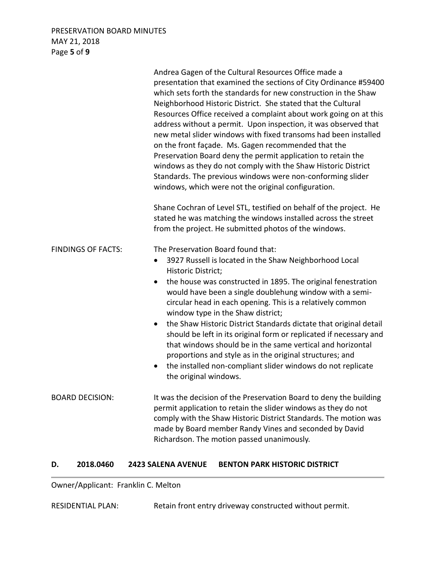## PRESERVATION BOARD MINUTES MAY 21, 2018 Page **5** of **9**

|                           | Andrea Gagen of the Cultural Resources Office made a<br>presentation that examined the sections of City Ordinance #59400<br>which sets forth the standards for new construction in the Shaw<br>Neighborhood Historic District. She stated that the Cultural<br>Resources Office received a complaint about work going on at this<br>address without a permit. Upon inspection, it was observed that<br>new metal slider windows with fixed transoms had been installed<br>on the front façade. Ms. Gagen recommended that the<br>Preservation Board deny the permit application to retain the<br>windows as they do not comply with the Shaw Historic District<br>Standards. The previous windows were non-conforming slider<br>windows, which were not the original configuration. |
|---------------------------|-------------------------------------------------------------------------------------------------------------------------------------------------------------------------------------------------------------------------------------------------------------------------------------------------------------------------------------------------------------------------------------------------------------------------------------------------------------------------------------------------------------------------------------------------------------------------------------------------------------------------------------------------------------------------------------------------------------------------------------------------------------------------------------|
|                           | Shane Cochran of Level STL, testified on behalf of the project. He<br>stated he was matching the windows installed across the street<br>from the project. He submitted photos of the windows.                                                                                                                                                                                                                                                                                                                                                                                                                                                                                                                                                                                       |
| <b>FINDINGS OF FACTS:</b> | The Preservation Board found that:<br>3927 Russell is located in the Shaw Neighborhood Local<br>٠<br>Historic District;<br>the house was constructed in 1895. The original fenestration<br>$\bullet$<br>would have been a single doublehung window with a semi-<br>circular head in each opening. This is a relatively common<br>window type in the Shaw district;<br>the Shaw Historic District Standards dictate that original detail<br>$\bullet$<br>should be left in its original form or replicated if necessary and<br>that windows should be in the same vertical and horizontal<br>proportions and style as in the original structures; and<br>the installed non-compliant slider windows do not replicate<br>$\bullet$<br>the original windows.                           |
| <b>BOARD DECISION:</b>    | It was the decision of the Preservation Board to deny the building<br>permit application to retain the slider windows as they do not<br>comply with the Shaw Historic District Standards. The motion was<br>made by Board member Randy Vines and seconded by David<br>Richardson. The motion passed unanimously.                                                                                                                                                                                                                                                                                                                                                                                                                                                                    |

## **D. 2018.0460 2423 SALENA AVENUE BENTON PARK HISTORIC DISTRICT**

Owner/Applicant: Franklin C. Melton

RESIDENTIAL PLAN: Retain front entry driveway constructed without permit.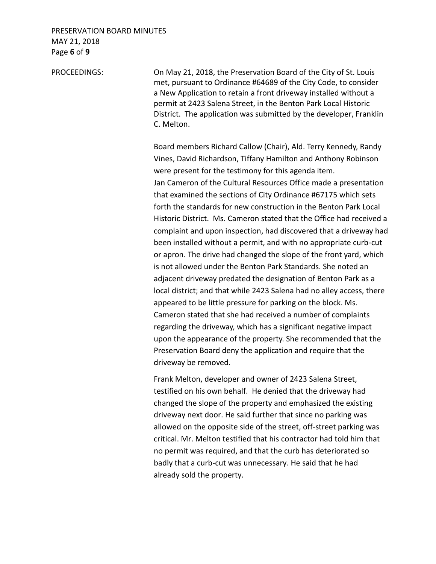## PRESERVATION BOARD MINUTES MAY 21, 2018 Page **6** of **9**

PROCEEDINGS: On May 21, 2018, the Preservation Board of the City of St. Louis met, pursuant to Ordinance #64689 of the City Code, to consider a New Application to retain a front driveway installed without a permit at 2423 Salena Street, in the Benton Park Local Historic District. The application was submitted by the developer, Franklin C. Melton.

> Board members Richard Callow (Chair), Ald. Terry Kennedy, Randy Vines, David Richardson, Tiffany Hamilton and Anthony Robinson were present for the testimony for this agenda item. Jan Cameron of the Cultural Resources Office made a presentation that examined the sections of City Ordinance #67175 which sets forth the standards for new construction in the Benton Park Local Historic District. Ms. Cameron stated that the Office had received a complaint and upon inspection, had discovered that a driveway had been installed without a permit, and with no appropriate curb-cut or apron. The drive had changed the slope of the front yard, which is not allowed under the Benton Park Standards. She noted an adjacent driveway predated the designation of Benton Park as a local district; and that while 2423 Salena had no alley access, there appeared to be little pressure for parking on the block. Ms. Cameron stated that she had received a number of complaints regarding the driveway, which has a significant negative impact upon the appearance of the property. She recommended that the Preservation Board deny the application and require that the driveway be removed.

Frank Melton, developer and owner of 2423 Salena Street, testified on his own behalf. He denied that the driveway had changed the slope of the property and emphasized the existing driveway next door. He said further that since no parking was allowed on the opposite side of the street, off-street parking was critical. Mr. Melton testified that his contractor had told him that no permit was required, and that the curb has deteriorated so badly that a curb-cut was unnecessary. He said that he had already sold the property.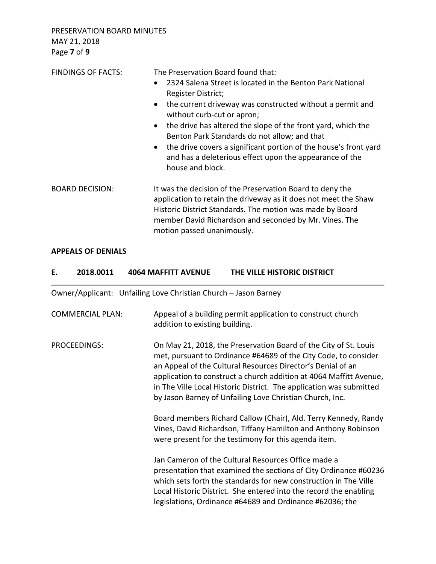PRESERVATION BOARD MINUTES MAY 21, 2018 Page **7** of **9**

| <b>FINDINGS OF FACTS:</b> | The Preservation Board found that:<br>2324 Salena Street is located in the Benton Park National<br>$\bullet$<br>Register District;<br>the current driveway was constructed without a permit and<br>$\bullet$<br>without curb-cut or apron;<br>the drive has altered the slope of the front yard, which the<br>$\bullet$<br>Benton Park Standards do not allow; and that<br>the drive covers a significant portion of the house's front yard<br>$\bullet$<br>and has a deleterious effect upon the appearance of the<br>house and block. |
|---------------------------|-----------------------------------------------------------------------------------------------------------------------------------------------------------------------------------------------------------------------------------------------------------------------------------------------------------------------------------------------------------------------------------------------------------------------------------------------------------------------------------------------------------------------------------------|
| <b>BOARD DECISION:</b>    | It was the decision of the Preservation Board to deny the<br>application to retain the driveway as it does not meet the Shaw<br>Historic District Standards. The motion was made by Board<br>member David Richardson and seconded by Mr. Vines. The<br>motion passed unanimously.                                                                                                                                                                                                                                                       |

## **APPEALS OF DENIALS**

| Е. | 2018.0011               | <b>4064 MAFFITT AVENUE</b>                                      | THE VILLE HISTORIC DISTRICT                                                                                                                                                                                                                                                                                                                                                                                 |
|----|-------------------------|-----------------------------------------------------------------|-------------------------------------------------------------------------------------------------------------------------------------------------------------------------------------------------------------------------------------------------------------------------------------------------------------------------------------------------------------------------------------------------------------|
|    |                         | Owner/Applicant: Unfailing Love Christian Church - Jason Barney |                                                                                                                                                                                                                                                                                                                                                                                                             |
|    | <b>COMMERCIAL PLAN:</b> | addition to existing building.                                  | Appeal of a building permit application to construct church                                                                                                                                                                                                                                                                                                                                                 |
|    | PROCEEDINGS:            |                                                                 | On May 21, 2018, the Preservation Board of the City of St. Louis<br>met, pursuant to Ordinance #64689 of the City Code, to consider<br>an Appeal of the Cultural Resources Director's Denial of an<br>application to construct a church addition at 4064 Maffitt Avenue,<br>in The Ville Local Historic District. The application was submitted<br>by Jason Barney of Unfailing Love Christian Church, Inc. |
|    |                         |                                                                 | Board members Richard Callow (Chair), Ald. Terry Kennedy, Randy<br>Vines, David Richardson, Tiffany Hamilton and Anthony Robinson<br>were present for the testimony for this agenda item.                                                                                                                                                                                                                   |
|    |                         |                                                                 | Jan Cameron of the Cultural Resources Office made a<br>presentation that examined the sections of City Ordinance #60236<br>which sets forth the standards for new construction in The Ville<br>Local Historic District. She entered into the record the enabling<br>legislations, Ordinance #64689 and Ordinance #62036; the                                                                                |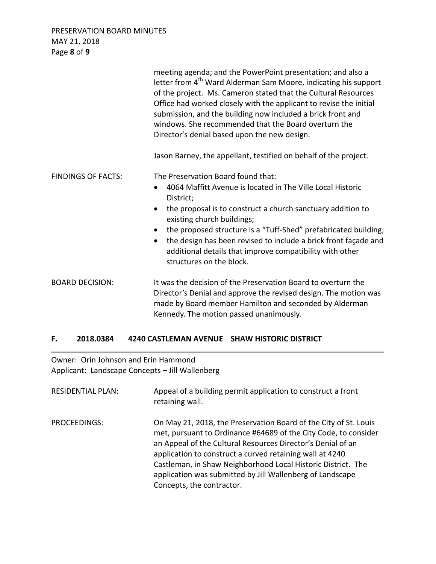PRESERVATION BOARD MINUTES MAY 21, 2018 Page **8** of **9**

|                           | meeting agenda; and the PowerPoint presentation; and also a<br>letter from 4 <sup>th</sup> Ward Alderman Sam Moore, indicating his support<br>of the project. Ms. Cameron stated that the Cultural Resources<br>Office had worked closely with the applicant to revise the initial<br>submission, and the building now included a brick front and<br>windows. She recommended that the Board overturn the<br>Director's denial based upon the new design.                       |
|---------------------------|---------------------------------------------------------------------------------------------------------------------------------------------------------------------------------------------------------------------------------------------------------------------------------------------------------------------------------------------------------------------------------------------------------------------------------------------------------------------------------|
|                           | Jason Barney, the appellant, testified on behalf of the project.                                                                                                                                                                                                                                                                                                                                                                                                                |
| <b>FINDINGS OF FACTS:</b> | The Preservation Board found that:<br>4064 Maffitt Avenue is located in The Ville Local Historic<br>$\bullet$<br>District;<br>the proposal is to construct a church sanctuary addition to<br>$\bullet$<br>existing church buildings;<br>the proposed structure is a "Tuff-Shed" prefabricated building;<br>the design has been revised to include a brick front façade and<br>$\bullet$<br>additional details that improve compatibility with other<br>structures on the block. |
| <b>BOARD DECISION:</b>    | It was the decision of the Preservation Board to overturn the<br>Director's Denial and approve the revised design. The motion was<br>made by Board member Hamilton and seconded by Alderman<br>Kennedy. The motion passed unanimously.                                                                                                                                                                                                                                          |

# **F. 2018.0384 4240 CASTLEMAN AVENUE SHAW HISTORIC DISTRICT**

Owner: Orin Johnson and Erin Hammond Applicant: Landscape Concepts – Jill Wallenberg

| <b>RESIDENTIAL PLAN:</b> | Appeal of a building permit application to construct a front<br>retaining wall.                                                                                                                                                                                                                                                                                                                                          |
|--------------------------|--------------------------------------------------------------------------------------------------------------------------------------------------------------------------------------------------------------------------------------------------------------------------------------------------------------------------------------------------------------------------------------------------------------------------|
| PROCEEDINGS:             | On May 21, 2018, the Preservation Board of the City of St. Louis<br>met, pursuant to Ordinance #64689 of the City Code, to consider<br>an Appeal of the Cultural Resources Director's Denial of an<br>application to construct a curved retaining wall at 4240<br>Castleman, in Shaw Neighborhood Local Historic District. The<br>application was submitted by Jill Wallenberg of Landscape<br>Concepts, the contractor. |